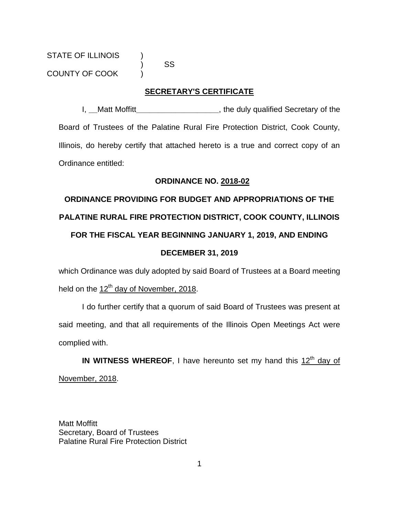) SS

### **SECRETARY'S CERTIFICATE**

I, **\_\_**Matt Moffitt**\_\_\_\_\_\_\_\_\_\_\_\_\_\_\_\_\_\_\_**, the duly qualified Secretary of the Board of Trustees of the Palatine Rural Fire Protection District, Cook County, Illinois, do hereby certify that attached hereto is a true and correct copy of an Ordinance entitled:

### **ORDINANCE NO. 2018-02**

# **ORDINANCE PROVIDING FOR BUDGET AND APPROPRIATIONS OF THE PALATINE RURAL FIRE PROTECTION DISTRICT, COOK COUNTY, ILLINOIS FOR THE FISCAL YEAR BEGINNING JANUARY 1, 2019, AND ENDING DECEMBER 31, 2019**

which Ordinance was duly adopted by said Board of Trustees at a Board meeting held on the 12<sup>th</sup> day of November, 2018.

I do further certify that a quorum of said Board of Trustees was present at said meeting, and that all requirements of the Illinois Open Meetings Act were complied with.

IN WITNESS WHEREOF, I have hereunto set my hand this 12<sup>th</sup> day of November, 2018.

Matt Moffitt Secretary, Board of Trustees Palatine Rural Fire Protection District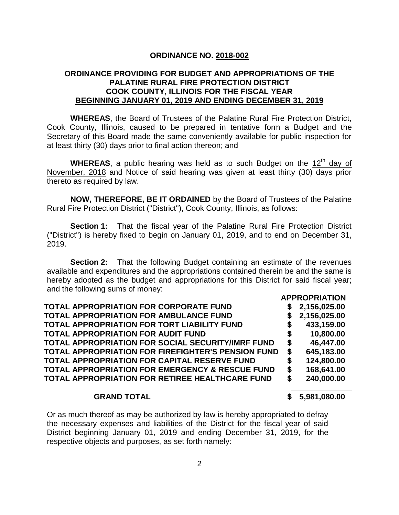### **ORDINANCE NO. 2018-002**

### **ORDINANCE PROVIDING FOR BUDGET AND APPROPRIATIONS OF THE PALATINE RURAL FIRE PROTECTION DISTRICT COOK COUNTY, ILLINOIS FOR THE FISCAL YEAR BEGINNING JANUARY 01, 2019 AND ENDING DECEMBER 31, 2019**

**WHEREAS**, the Board of Trustees of the Palatine Rural Fire Protection District, Cook County, Illinois, caused to be prepared in tentative form a Budget and the Secretary of this Board made the same conveniently available for public inspection for at least thirty (30) days prior to final action thereon; and

WHEREAS, a public hearing was held as to such Budget on the 12<sup>th</sup> day of November, 2018 and Notice of said hearing was given at least thirty (30) days prior thereto as required by law.

**NOW, THEREFORE, BE IT ORDAINED** by the Board of Trustees of the Palatine Rural Fire Protection District ("District"), Cook County, Illinois, as follows:

**Section 1:** That the fiscal year of the Palatine Rural Fire Protection District ("District") is hereby fixed to begin on January 01, 2019, and to end on December 31, 2019.

**Section 2:** That the following Budget containing an estimate of the revenues available and expenditures and the appropriations contained therein be and the same is hereby adopted as the budget and appropriations for this District for said fiscal year; and the following sums of money:

| <b>TOTAL APPROPRIATION FOR CORPORATE FUND</b>      | S  | 2,156,025.00 |
|----------------------------------------------------|----|--------------|
| TOTAL APPROPRIATION FOR AMBULANCE FUND             | S  | 2,156,025.00 |
| TOTAL APPROPRIATION FOR TORT LIABILITY FUND        | \$ | 433,159.00   |
| <b>TOTAL APPROPRIATION FOR AUDIT FUND</b>          | \$ | 10,800.00    |
| TOTAL APPROPRIATION FOR SOCIAL SECURITY/IMRF FUND  | \$ | 46,447.00    |
| TOTAL APPROPRIATION FOR FIREFIGHTER'S PENSION FUND | \$ | 645,183.00   |
| TOTAL APPROPRIATION FOR CAPITAL RESERVE FUND       | S  | 124,800.00   |
| TOTAL APPROPRIATION FOR EMERGENCY & RESCUE FUND    | \$ | 168,641.00   |
| TOTAL APPROPRIATION FOR RETIREE HEALTHCARE FUND    | S  | 240,000.00   |
|                                                    |    |              |

**GRAND TOTAL \$ 5,981,080.00**

**APPROPRIATION**

Or as much thereof as may be authorized by law is hereby appropriated to defray the necessary expenses and liabilities of the District for the fiscal year of said District beginning January 01, 2019 and ending December 31, 2019, for the respective objects and purposes, as set forth namely: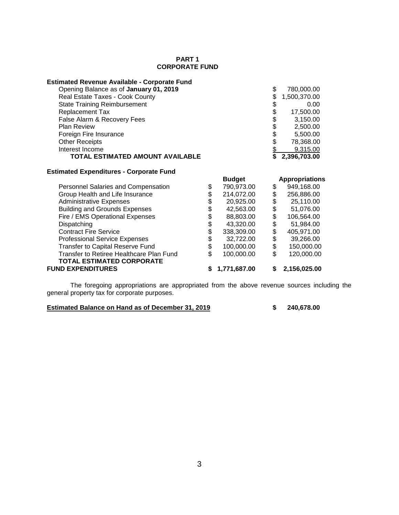#### **PART 1 CORPORATE FUND**

| <b>Estimated Revenue Available - Corporate Fund</b>          |                |               |        |                       |
|--------------------------------------------------------------|----------------|---------------|--------|-----------------------|
| Opening Balance as of January 01, 2019                       |                |               | \$     | 780,000.00            |
| Real Estate Taxes - Cook County                              |                |               | \$     | 1,500,370.00          |
| <b>State Training Reimbursement</b>                          |                |               |        | 0.00                  |
| <b>Replacement Tax</b>                                       |                |               |        | 17,500.00             |
| False Alarm & Recovery Fees                                  |                |               | \$\$\$ | 3,150.00              |
| <b>Plan Review</b>                                           |                |               |        | 2,500.00              |
| Foreign Fire Insurance                                       |                |               | \$     | 5,500.00              |
| <b>Other Receipts</b>                                        |                |               | \$     | 78,368.00             |
| Interest Income                                              |                |               | \$     | 9,315.00              |
| TOTAL ESTIMATED AMOUNT AVAILABLE                             |                |               | \$     | 2,396,703.00          |
| <b>Estimated Expenditures - Corporate Fund</b>               |                |               |        |                       |
|                                                              |                |               |        |                       |
|                                                              |                | <b>Budget</b> |        | <b>Appropriations</b> |
| Personnel Salaries and Compensation                          | \$             | 790,973.00    | \$     | 949,168.00            |
| Group Health and Life Insurance                              |                | 214,072.00    |        | 256,886.00            |
| <b>Administrative Expenses</b>                               |                | 20,925.00     | \$     | 25,110.00             |
| <b>Building and Grounds Expenses</b>                         |                | 42,563.00     |        | 51,076.00             |
| Fire / EMS Operational Expenses                              |                | 88,803.00     | \$     | 106,564.00            |
| Dispatching                                                  |                | 43,320.00     | \$     | 51,984.00             |
| <b>Contract Fire Service</b>                                 |                | 338,309.00    | \$     | 405,971.00            |
| <b>Professional Service Expenses</b>                         |                | 32,722.00     | \$     | 39,266.00             |
| <b>Transfer to Capital Reserve Fund</b>                      | <b>8888888</b> | 100,000.00    | \$     | 150,000.00            |
| Transfer to Retiree Healthcare Plan Fund                     | \$             | 100,000.00    | \$     | 120,000.00            |
| <b>TOTAL ESTIMATED CORPORATE</b><br><b>FUND EXPENDITURES</b> |                | 1,771,687.00  | \$     | 2,156,025.00          |

The foregoing appropriations are appropriated from the above revenue sources including the general property tax for corporate purposes.

**Estimated Balance on Hand as of December 31, 2019 \$ 240,678.00**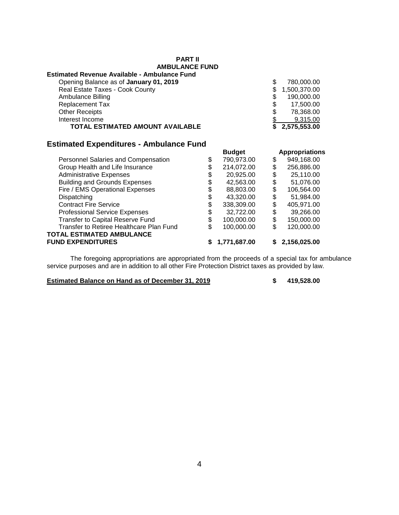| <b>AMBULANCE FUND</b>                               |               |    |                       |
|-----------------------------------------------------|---------------|----|-----------------------|
| <b>Estimated Revenue Available - Ambulance Fund</b> |               |    |                       |
| Opening Balance as of January 01, 2019              |               | \$ | 780,000.00            |
| Real Estate Taxes - Cook County                     |               |    | 1,500,370.00          |
| <b>Ambulance Billing</b>                            |               | S  | 190,000.00            |
| <b>Replacement Tax</b>                              |               | \$ | 17,500.00             |
| <b>Other Receipts</b>                               |               | \$ | 78,368.00             |
| Interest Income                                     |               |    | 9,315.00              |
| <b>TOTAL ESTIMATED AMOUNT AVAILABLE</b>             |               | \$ | 2,575,553.00          |
| <b>Estimated Expenditures - Ambulance Fund</b>      |               |    |                       |
|                                                     | <b>Budget</b> |    | <b>Appropriations</b> |

**PART II**

|                                          | nander           | Appropriations   |
|------------------------------------------|------------------|------------------|
| Personnel Salaries and Compensation      | \$<br>790,973.00 | \$<br>949,168.00 |
| Group Health and Life Insurance          | \$<br>214,072.00 | \$<br>256,886.00 |
| <b>Administrative Expenses</b>           | \$<br>20,925.00  | \$<br>25,110.00  |
| <b>Building and Grounds Expenses</b>     | \$<br>42,563.00  | \$<br>51,076.00  |
| Fire / EMS Operational Expenses          | \$<br>88,803.00  | \$<br>106,564.00 |
| Dispatching                              | \$<br>43,320.00  | \$<br>51,984.00  |
| <b>Contract Fire Service</b>             | \$<br>338,309.00 | \$<br>405,971.00 |
| <b>Professional Service Expenses</b>     | \$<br>32,722.00  | \$<br>39,266.00  |
| Transfer to Capital Reserve Fund         | \$<br>100,000.00 | \$<br>150,000.00 |
| Transfer to Retiree Healthcare Plan Fund | \$<br>100,000.00 | \$<br>120,000.00 |
| TOTAL ESTIMATED AMBULANCE                |                  |                  |
| <b>FUND EXPENDITURES</b>                 | 1,771,687.00     | \$2,156,025.00   |
|                                          |                  |                  |

The foregoing appropriations are appropriated from the proceeds of a special tax for ambulance service purposes and are in addition to all other Fire Protection District taxes as provided by law.

**Estimated Balance on Hand as of December 31, 2019 \$ 419,528.00**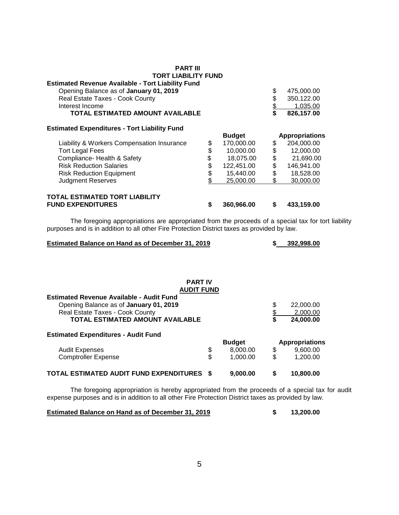| <b>PART III</b>                                                                 |                  |     |                       |
|---------------------------------------------------------------------------------|------------------|-----|-----------------------|
| TORT LIABILITY FUND<br><b>Estimated Revenue Available - Tort Liability Fund</b> |                  |     |                       |
| Opening Balance as of January 01, 2019                                          |                  | \$  | 475,000.00            |
| Real Estate Taxes - Cook County                                                 |                  | \$  | 350,122.00            |
| Interest Income                                                                 |                  |     | 1.035.00              |
| <b>TOTAL ESTIMATED AMOUNT AVAILABLE</b>                                         |                  |     | 826,157.00            |
| <b>Estimated Expenditures - Tort Liability Fund</b>                             |                  |     |                       |
|                                                                                 | <b>Budget</b>    |     | <b>Appropriations</b> |
| Liability & Workers Compensation Insurance                                      | \$<br>170,000.00 | \$  | 204,000.00            |
| <b>Tort Legal Fees</b>                                                          | \$<br>10,000.00  | \$  | 12,000.00             |
| Compliance- Health & Safety                                                     | \$<br>18,075.00  | \$  | 21,690.00             |
| <b>Risk Reduction Salaries</b>                                                  | \$<br>122,451.00 | \$  | 146,941.00            |
| <b>Risk Reduction Equipment</b>                                                 | \$<br>15,440.00  | \$  | 18,528.00             |
| <b>Judgment Reserves</b>                                                        | 25,000.00        | \$. | 30,000.00             |
| <b>TOTAL ESTIMATED TORT LIABILITY</b>                                           |                  |     |                       |
| <b>FUND EXPENDITURES</b>                                                        | \$<br>360,966.00 | S   | 433,159.00            |

The foregoing appropriations are appropriated from the proceeds of a special tax for tort liability purposes and is in addition to all other Fire Protection District taxes as provided by law.

### **Estimated Balance on Hand as of December 31, 2019 \$ 392,998.00**

#### **PART IV AUDIT FUND**

| <b>Estimated Revenue Available - Audit Fund</b> |                |          |                       |
|-------------------------------------------------|----------------|----------|-----------------------|
| Opening Balance as of January 01, 2019          |                | \$       | 22,000.00             |
| Real Estate Taxes - Cook County                 |                | 2,000.00 |                       |
| TOTAL ESTIMATED AMOUNT AVAILABLE                |                | S        | 24,000.00             |
| <b>Estimated Expenditures - Audit Fund</b>      |                |          |                       |
|                                                 | <b>Budget</b>  |          | <b>Appropriations</b> |
| <b>Audit Expenses</b>                           | \$<br>8,000.00 | \$       | 9,600.00              |
| <b>Comptroller Expense</b>                      | \$<br>1,000.00 | \$       | 1,200.00              |
| TOTAL ESTIMATED AUDIT FUND EXPENDITURES         | 9,000.00       |          | 10,800.00             |

The foregoing appropriation is hereby appropriated from the proceeds of a special tax for audit expense purposes and is in addition to all other Fire Protection District taxes as provided by law.

#### **Estimated Balance on Hand as of December 31, 2019 \$ 13,200.00**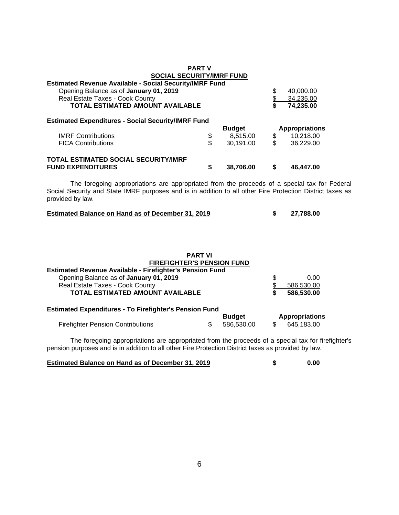|                                                                                                                                                                                                                                  | <b>PART V</b> |                             |                           |                                     |  |
|----------------------------------------------------------------------------------------------------------------------------------------------------------------------------------------------------------------------------------|---------------|-----------------------------|---------------------------|-------------------------------------|--|
| <b>SOCIAL SECURITY/IMRF FUND</b>                                                                                                                                                                                                 |               |                             |                           |                                     |  |
| <b>Estimated Revenue Available - Social Security/IMRF Fund</b>                                                                                                                                                                   |               |                             |                           |                                     |  |
| Opening Balance as of January 01, 2019                                                                                                                                                                                           |               |                             |                           | 40,000.00                           |  |
| Real Estate Taxes - Cook County                                                                                                                                                                                                  |               |                             | \$\$                      | 34,235.00                           |  |
| <b>TOTAL ESTIMATED AMOUNT AVAILABLE</b>                                                                                                                                                                                          |               |                             |                           | 74,235.00                           |  |
| <b>Estimated Expenditures - Social Security/IMRF Fund</b>                                                                                                                                                                        |               |                             |                           |                                     |  |
|                                                                                                                                                                                                                                  |               | <b>Budget</b>               |                           | <b>Appropriations</b>               |  |
| <b>IMRF Contributions</b>                                                                                                                                                                                                        | \$            | 8,515.00                    | \$                        | 10,218.00                           |  |
| <b>FICA Contributions</b>                                                                                                                                                                                                        | \$            | 30,191.00                   | \$                        | 36,229.00                           |  |
| <b>TOTAL ESTIMATED SOCIAL SECURITY/IMRF</b>                                                                                                                                                                                      |               |                             |                           |                                     |  |
| <b>FUND EXPENDITURES</b>                                                                                                                                                                                                         | \$            | 38,706.00                   | \$                        | 46,447.00                           |  |
|                                                                                                                                                                                                                                  |               |                             |                           |                                     |  |
| The foregoing appropriations are appropriated from the proceeds of a special tax for Federal<br>Social Security and State IMRF purposes and is in addition to all other Fire Protection District taxes as<br>provided by law.    |               |                             |                           |                                     |  |
| <b>Estimated Balance on Hand as of December 31, 2019</b>                                                                                                                                                                         |               |                             |                           |                                     |  |
|                                                                                                                                                                                                                                  |               |                             | \$                        | 27,788.00                           |  |
| <b>PART VI</b><br>FIREFIGHTER'S PENSION FUND<br>Estimated Revenue Available - Firefighter's Pension Fund<br>Opening Balance as of January 01, 2019<br>Real Estate Taxes - Cook County<br><b>TOTAL ESTIMATED AMOUNT AVAILABLE</b> |               |                             | \$<br>$\frac{1}{2}$<br>\$ | 0.00<br>586,530.00<br>586,530.00    |  |
| <b>Estimated Expenditures - To Firefighter's Pension Fund</b>                                                                                                                                                                    |               |                             |                           |                                     |  |
| <b>Firefighter Pension Contributions</b>                                                                                                                                                                                         | \$            | <b>Budget</b><br>586,530.00 | \$                        | <b>Appropriations</b><br>645,183.00 |  |

pension purposes and is in addition to all other Fire Protection District taxes as provided by law.

| <b>Estimated Balance on Hand as of December 31, 2019</b> | 0.00 |
|----------------------------------------------------------|------|
|                                                          |      |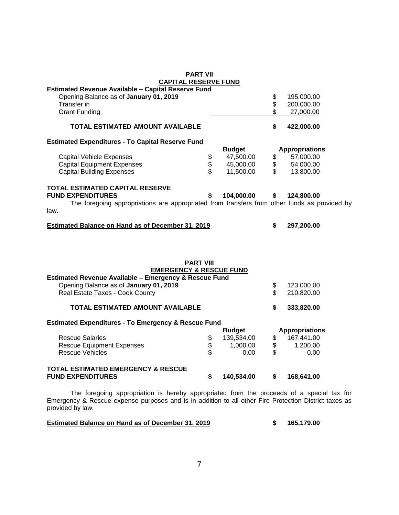| <b>PART VII</b>                                                                              |            |               |                                           |                       |
|----------------------------------------------------------------------------------------------|------------|---------------|-------------------------------------------|-----------------------|
| <b>CAPITAL RESERVE FUND</b><br><b>Estimated Revenue Available - Capital Reserve Fund</b>     |            |               |                                           |                       |
| Opening Balance as of January 01, 2019                                                       |            |               |                                           | 195,000.00            |
| Transfer in                                                                                  |            |               | \$                                        | 200,000.00            |
| <b>Grant Funding</b>                                                                         |            |               | \$                                        | 27,000.00             |
|                                                                                              |            |               |                                           |                       |
| TOTAL ESTIMATED AMOUNT AVAILABLE                                                             |            |               | \$                                        | 422,000.00            |
| <b>Estimated Expenditures - To Capital Reserve Fund</b>                                      |            |               |                                           |                       |
|                                                                                              |            | <b>Budget</b> |                                           | <b>Appropriations</b> |
| <b>Capital Vehicle Expenses</b>                                                              | \$         | 47,500.00     | \$                                        | 57,000.00             |
| <b>Capital Equipment Expenses</b>                                                            | \$<br>\$   | 45,000.00     | \$                                        | 54,000.00             |
| <b>Capital Building Expenses</b>                                                             |            | 11,500.00     | \$                                        | 13,800.00             |
| <b>TOTAL ESTIMATED CAPITAL RESERVE</b>                                                       |            |               |                                           |                       |
| <b>FUND EXPENDITURES</b>                                                                     | \$         | 104,000.00    | \$                                        | 124,800.00            |
| The foregoing appropriations are appropriated from transfers from other funds as provided by |            |               |                                           |                       |
| law.                                                                                         |            |               |                                           |                       |
| <b>Estimated Balance on Hand as of December 31, 2019</b>                                     |            |               | \$                                        | 297,200.00            |
|                                                                                              |            |               |                                           |                       |
| <b>PART VIII</b>                                                                             |            |               |                                           |                       |
| <b>EMERGENCY &amp; RESCUE FUND</b>                                                           |            |               |                                           |                       |
| Estimated Revenue Available - Emergency & Rescue Fund                                        |            |               |                                           |                       |
| Opening Balance as of January 01, 2019                                                       |            |               | \$                                        | 123,000.00            |
| Real Estate Taxes - Cook County                                                              |            |               | \$                                        | 210,820.00            |
| TOTAL ESTIMATED AMOUNT AVAILABLE                                                             |            |               | \$                                        | 333,820.00            |
| <b>Estimated Expenditures - To Emergency &amp; Rescue Fund</b>                               |            |               |                                           |                       |
|                                                                                              |            | <b>Budget</b> |                                           | <b>Appropriations</b> |
| <b>Rescue Salaries</b>                                                                       | \$         | 139,534.00    | \$                                        | 167,441.00            |
| <b>Rescue Equipment Expenses</b>                                                             | $\dot{\$}$ | 1,000.00      | $\, \, \raisebox{12pt}{$\scriptstyle \$}$ | 1,200.00              |
| <b>Rescue Vehicles</b>                                                                       | \$         | 0.00          | \$                                        | 0.00                  |
| TOTAL ESTIMATED EMERGENCY & RESCUE<br><b>FUND EXPENDITURES</b>                               | \$         | 140,534.00    | \$                                        | 168,641.00            |

The foregoing appropriation is hereby appropriated from the proceeds of a special tax for Emergency & Rescue expense purposes and is in addition to all other Fire Protection District taxes as provided by law.

### **Estimated Balance on Hand as of December 31, 2019 \$ 165,179.00**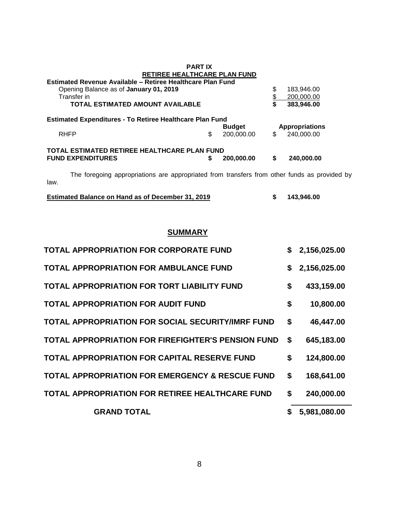|             | <b>PART IX</b><br>RETIREE HEALTHCARE PLAN FUND<br>Estimated Revenue Available - Retiree Healthcare Plan Fund<br>Opening Balance as of January 01, 2019<br>Transfer in<br><b>TOTAL ESTIMATED AMOUNT AVAILABLE</b> |    |                             | \$<br>\$<br>\$ | 183,946.00<br>200,000.00<br>383,946.00 |
|-------------|------------------------------------------------------------------------------------------------------------------------------------------------------------------------------------------------------------------|----|-----------------------------|----------------|----------------------------------------|
|             | <b>Estimated Expenditures - To Retiree Healthcare Plan Fund</b>                                                                                                                                                  |    |                             |                |                                        |
| <b>RHFP</b> |                                                                                                                                                                                                                  | \$ | <b>Budget</b><br>200,000.00 | \$             | <b>Appropriations</b><br>240,000.00    |
|             | TOTAL ESTIMATED RETIREE HEALTHCARE PLAN FUND                                                                                                                                                                     |    |                             |                |                                        |
|             | <b>FUND EXPENDITURES</b>                                                                                                                                                                                         | S  | 200,000.00                  | \$             | 240.000.00                             |
| law.        | The foregoing appropriations are appropriated from transfers from other funds as provided by                                                                                                                     |    |                             |                |                                        |

| <b>Estimated Balance on Hand as of December 31, 2019</b> | 143,946.00 |
|----------------------------------------------------------|------------|
|                                                          |            |

## **SUMMARY**

| <b>TOTAL APPROPRIATION FOR CORPORATE FUND</b>              | \$<br>2,156,025.00 |
|------------------------------------------------------------|--------------------|
| <b>TOTAL APPROPRIATION FOR AMBULANCE FUND</b>              | \$<br>2,156,025.00 |
| <b>TOTAL APPROPRIATION FOR TORT LIABILITY FUND</b>         | \$<br>433,159.00   |
| <b>TOTAL APPROPRIATION FOR AUDIT FUND</b>                  | \$<br>10,800.00    |
| <b>TOTAL APPROPRIATION FOR SOCIAL SECURITY/IMRF FUND</b>   | \$<br>46,447.00    |
| <b>TOTAL APPROPRIATION FOR FIREFIGHTER'S PENSION FUND</b>  | \$<br>645,183.00   |
| <b>TOTAL APPROPRIATION FOR CAPITAL RESERVE FUND</b>        | \$<br>124,800.00   |
| <b>TOTAL APPROPRIATION FOR EMERGENCY &amp; RESCUE FUND</b> | \$<br>168,641.00   |
| <b>TOTAL APPROPRIATION FOR RETIREE HEALTHCARE FUND</b>     | \$<br>240,000.00   |
| <b>GRAND TOTAL</b>                                         | \$<br>5,981,080.00 |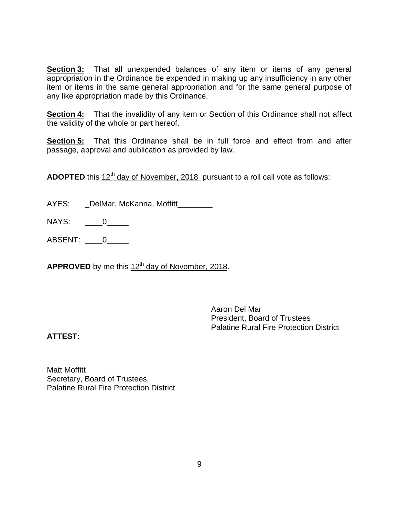**Section 3:** That all unexpended balances of any item or items of any general appropriation in the Ordinance be expended in making up any insufficiency in any other item or items in the same general appropriation and for the same general purpose of any like appropriation made by this Ordinance.

**Section 4:** That the invalidity of any item or Section of this Ordinance shall not affect the validity of the whole or part hereof.

**Section 5:** That this Ordinance shall be in full force and effect from and after passage, approval and publication as provided by law.

ADOPTED this 12<sup>th</sup> day of November, 2018 pursuant to a roll call vote as follows:

AYES: \_\_\_DelMar, McKanna, Moffitt\_\_\_\_\_\_\_\_\_

NAYS: <u>0</u>

ABSENT: \_\_\_\_0\_\_\_\_\_

APPROVED by me this 12<sup>th</sup> day of November, 2018.

Aaron Del Mar President, Board of Trustees Palatine Rural Fire Protection District

### **ATTEST:**

Matt Moffitt Secretary, Board of Trustees, Palatine Rural Fire Protection District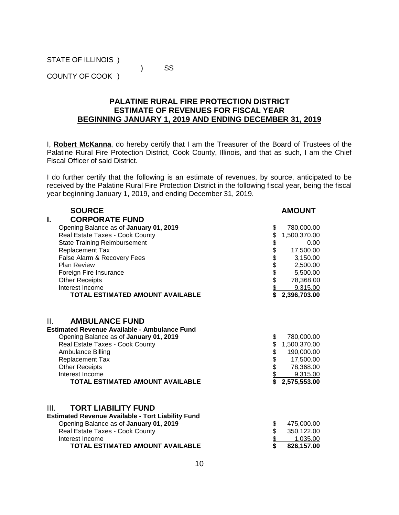STATE OF ILLINOIS )

) SS

COUNTY OF COOK )

### **PALATINE RURAL FIRE PROTECTION DISTRICT ESTIMATE OF REVENUES FOR FISCAL YEAR BEGINNING JANUARY 1, 2019 AND ENDING DECEMBER 31, 2019**

I, **Robert McKanna**, do hereby certify that I am the Treasurer of the Board of Trustees of the Palatine Rural Fire Protection District, Cook County, Illinois, and that as such, I am the Chief Fiscal Officer of said District.

I do further certify that the following is an estimate of revenues, by source, anticipated to be received by the Palatine Rural Fire Protection District in the following fiscal year, being the fiscal year beginning January 1, 2019, and ending December 31, 2019.

| <b>SOURCE</b>                                                                                                                                                                                                                                                                                  |                        | <b>AMOUNT</b>                                                                                  |
|------------------------------------------------------------------------------------------------------------------------------------------------------------------------------------------------------------------------------------------------------------------------------------------------|------------------------|------------------------------------------------------------------------------------------------|
| <b>CORPORATE FUND</b><br>ı.                                                                                                                                                                                                                                                                    |                        |                                                                                                |
| Opening Balance as of January 01, 2019                                                                                                                                                                                                                                                         | \$                     | 780,000.00                                                                                     |
| Real Estate Taxes - Cook County                                                                                                                                                                                                                                                                |                        | 1,500,370.00                                                                                   |
| <b>State Training Reimbursement</b>                                                                                                                                                                                                                                                            |                        | 0.00                                                                                           |
| Replacement Tax                                                                                                                                                                                                                                                                                |                        | 17,500.00                                                                                      |
| False Alarm & Recovery Fees                                                                                                                                                                                                                                                                    |                        | 3,150.00                                                                                       |
| <b>Plan Review</b>                                                                                                                                                                                                                                                                             |                        | 2,500.00                                                                                       |
| Foreign Fire Insurance                                                                                                                                                                                                                                                                         |                        | 5,500.00                                                                                       |
| <b>Other Receipts</b>                                                                                                                                                                                                                                                                          |                        | 78,368.00                                                                                      |
| Interest Income                                                                                                                                                                                                                                                                                | 88888888               | 9,315.00                                                                                       |
| TOTAL ESTIMATED AMOUNT AVAILABLE                                                                                                                                                                                                                                                               |                        | 2,396,703.00                                                                                   |
| Ш.<br><b>AMBULANCE FUND</b><br><b>Estimated Revenue Available - Ambulance Fund</b><br>Opening Balance as of January 01, 2019<br>Real Estate Taxes - Cook County<br>Ambulance Billing<br>Replacement Tax<br><b>Other Receipts</b><br>Interest Income<br><b>TOTAL ESTIMATED AMOUNT AVAILABLE</b> | \$<br>\$<br>5688<br>\$ | 780,000.00<br>1,500,370.00<br>190,000.00<br>17,500.00<br>78,368.00<br>9,315.00<br>2,575,553.00 |
| III.<br><b>TORT LIABILITY FUND</b><br><b>Estimated Revenue Available - Tort Liability Fund</b><br>Opening Balance as of January 01, 2019<br>Real Estate Taxes - Cook County<br>Interest Income<br>TOTAL ESTIMATED AMOUNT AVAILABLE                                                             | \$\$\$\$               | 475,000.00<br>350,122.00<br>1,035.00<br>826,157.00                                             |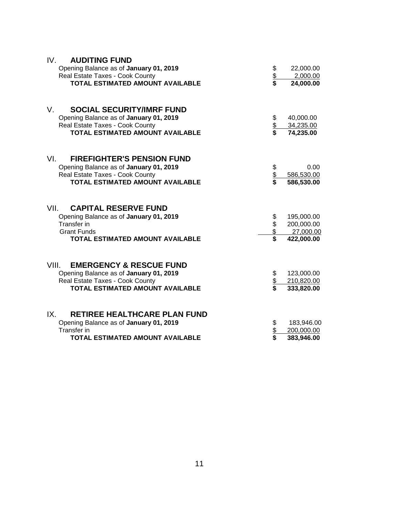| IV.<br><b>AUDITING FUND</b>                 |          |            |
|---------------------------------------------|----------|------------|
| Opening Balance as of January 01, 2019      |          | 22,000.00  |
| Real Estate Taxes - Cook County             | \$\$     | 2,000.00   |
| TOTAL ESTIMATED AMOUNT AVAILABLE            |          | 24,000.00  |
| <b>SOCIAL SECURITY/IMRF FUND</b><br>V.      |          |            |
| Opening Balance as of January 01, 2019      |          | 40,000.00  |
| Real Estate Taxes - Cook County             | \$<br>\$ | 34,235.00  |
| <b>TOTAL ESTIMATED AMOUNT AVAILABLE</b>     |          | 74,235.00  |
| VI.<br><b>FIREFIGHTER'S PENSION FUND</b>    |          |            |
| Opening Balance as of January 01, 2019      |          | 0.00       |
| Real Estate Taxes - Cook County             |          | 586,530.00 |
| <b>TOTAL ESTIMATED AMOUNT AVAILABLE</b>     | \$<br>\$ | 586,530.00 |
|                                             |          |            |
| VII.<br><b>CAPITAL RESERVE FUND</b>         |          |            |
| Opening Balance as of January 01, 2019      | \$       | 195,000.00 |
| <b>Transfer in</b>                          | \$<br>\$ | 200,000.00 |
| <b>Grant Funds</b>                          |          | 27,000.00  |
| <b>TOTAL ESTIMATED AMOUNT AVAILABLE</b>     | \$       | 422,000.00 |
| VIII.<br><b>EMERGENCY &amp; RESCUE FUND</b> |          |            |
| Opening Balance as of January 01, 2019      |          | 123,000.00 |
| Real Estate Taxes - Cook County             | \$<br>\$ | 210,820.00 |
| <b>TOTAL ESTIMATED AMOUNT AVAILABLE</b>     |          | 333,820.00 |
| <b>RETIREE HEALTHCARE PLAN FUND</b><br>IX.  |          |            |
| Opening Balance as of January 01, 2019      | \$       | 183,946.00 |
| <b>Transfer in</b>                          | \$<br>\$ | 200,000.00 |
| TOTAL ESTIMATED AMOUNT AVAILABLE            |          | 383,946.00 |